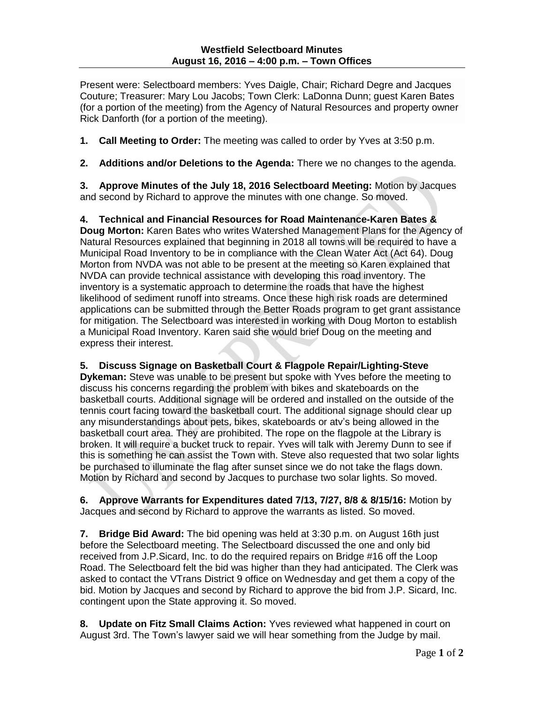Present were: Selectboard members: Yves Daigle, Chair; Richard Degre and Jacques Couture; Treasurer: Mary Lou Jacobs; Town Clerk: LaDonna Dunn; guest Karen Bates (for a portion of the meeting) from the Agency of Natural Resources and property owner Rick Danforth (for a portion of the meeting).

**1. Call Meeting to Order:** The meeting was called to order by Yves at 3:50 p.m.

**2. Additions and/or Deletions to the Agenda:** There we no changes to the agenda.

**3. Approve Minutes of the July 18, 2016 Selectboard Meeting:** Motion by Jacques and second by Richard to approve the minutes with one change. So moved.

**4. Technical and Financial Resources for Road Maintenance-Karen Bates & Doug Morton:** Karen Bates who writes Watershed Management Plans for the Agency of Natural Resources explained that beginning in 2018 all towns will be required to have a Municipal Road Inventory to be in compliance with the Clean Water Act (Act 64). Doug Morton from NVDA was not able to be present at the meeting so Karen explained that NVDA can provide technical assistance with developing this road inventory. The inventory is a systematic approach to determine the roads that have the highest likelihood of sediment runoff into streams. Once these high risk roads are determined applications can be submitted through the Better Roads program to get grant assistance for mitigation. The Selectboard was interested in working with Doug Morton to establish a Municipal Road Inventory. Karen said she would brief Doug on the meeting and express their interest.

**5. Discuss Signage on Basketball Court & Flagpole Repair/Lighting-Steve** 

**Dykeman:** Steve was unable to be present but spoke with Yves before the meeting to discuss his concerns regarding the problem with bikes and skateboards on the basketball courts. Additional signage will be ordered and installed on the outside of the tennis court facing toward the basketball court. The additional signage should clear up any misunderstandings about pets, bikes, skateboards or atv's being allowed in the basketball court area. They are prohibited. The rope on the flagpole at the Library is broken. It will require a bucket truck to repair. Yves will talk with Jeremy Dunn to see if this is something he can assist the Town with. Steve also requested that two solar lights be purchased to illuminate the flag after sunset since we do not take the flags down. Motion by Richard and second by Jacques to purchase two solar lights. So moved.

**6. Approve Warrants for Expenditures dated 7/13, 7/27, 8/8 & 8/15/16:** Motion by Jacques and second by Richard to approve the warrants as listed. So moved.

**7. Bridge Bid Award:** The bid opening was held at 3:30 p.m. on August 16th just before the Selectboard meeting. The Selectboard discussed the one and only bid received from J.P.Sicard, Inc. to do the required repairs on Bridge #16 off the Loop Road. The Selectboard felt the bid was higher than they had anticipated. The Clerk was asked to contact the VTrans District 9 office on Wednesday and get them a copy of the bid. Motion by Jacques and second by Richard to approve the bid from J.P. Sicard, Inc. contingent upon the State approving it. So moved.

**8. Update on Fitz Small Claims Action:** Yves reviewed what happened in court on August 3rd. The Town's lawyer said we will hear something from the Judge by mail.